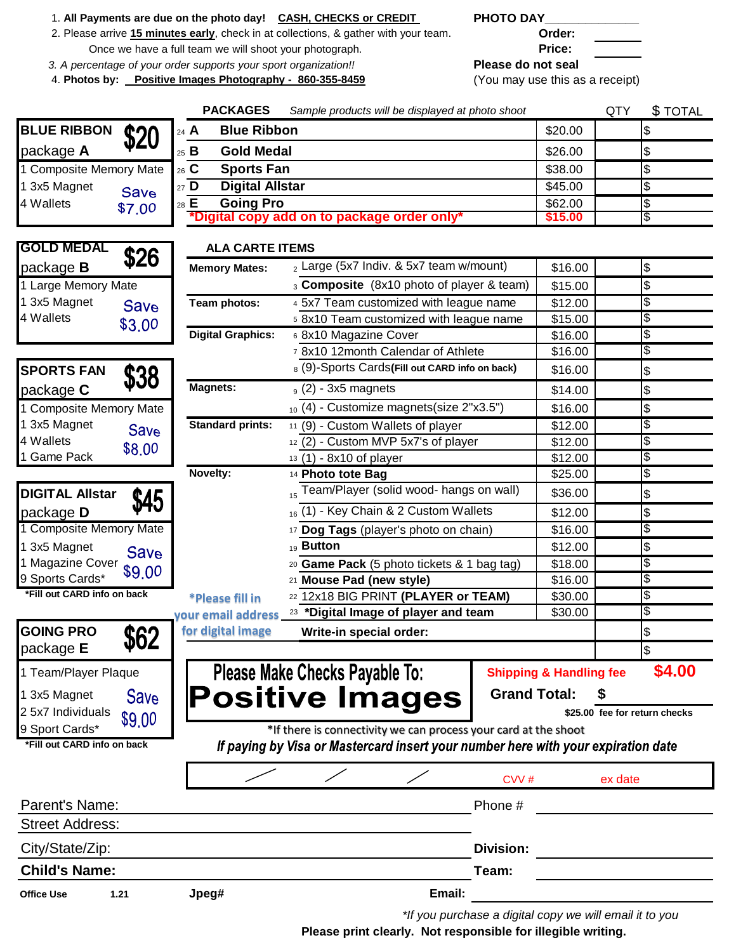- 1. **All Payments are due on the photo day! CASH, CHECKS or CREDIT PHOTO DAY\_\_\_\_\_\_\_\_\_\_\_\_\_\_**
- 2. Please arrive **15 minutes early**, check in at collections, & gather with your team. **Order:** Once we have a full team we will shoot your photograph. **Price:** Price:
- *3. A percentage of your order supports your sport organization!!* **Please do not seal**
- 4. **Photos by: Positive Images Photography 860-355-8459** (You may use this as a receipt)

|                             |             | <b>PACKAGES</b>                            | Sample products will be displayed at photo shoot                                  |                                    | <b>\$TOTAL</b><br>QTY         |
|-----------------------------|-------------|--------------------------------------------|-----------------------------------------------------------------------------------|------------------------------------|-------------------------------|
| <b>BLUE RIBBON</b>          | \$20        | <b>Blue Ribbon</b><br>$24$ A               |                                                                                   | \$20.00                            | \$                            |
| package A                   |             | $25$ B<br><b>Gold Medal</b>                | \$26.00                                                                           | \$                                 |                               |
| 1 Composite Memory Mate     |             | <sub>26</sub> C<br><b>Sports Fan</b>       | \$38.00                                                                           | \$                                 |                               |
| 1 3x5 Magnet                | <b>Save</b> | $27\overline{D}$<br><b>Digital Allstar</b> | \$45.00                                                                           | \$                                 |                               |
| 4 Wallets                   | \$7,00      | \$62.00                                    | $\frac{1}{2}$                                                                     |                                    |                               |
|                             |             |                                            | *Digital copy add on to package order only*                                       | \$15.00                            | \$                            |
|                             |             |                                            |                                                                                   |                                    |                               |
| <b>GOLD MEDAL</b>           | \$26        | <b>ALA CARTE ITEMS</b>                     |                                                                                   |                                    |                               |
| package <b>B</b>            |             | <b>Memory Mates:</b>                       | 2 Large (5x7 Indiv. & 5x7 team w/mount)                                           | \$16.00                            | $\boldsymbol{\theta}$         |
| 1 Large Memory Mate         |             |                                            | 3 Composite (8x10 photo of player & team)                                         | \$15.00                            | \$                            |
| 1 3x5 Magnet                | <b>Save</b> | Team photos:                               | 4 5x7 Team customized with league name                                            | $\overline{$}12.00$                | \$                            |
| 4 Wallets                   | \$3.00      |                                            | 5 8x10 Team customized with league name                                           | \$15.00                            | \$                            |
|                             |             | <b>Digital Graphics:</b>                   | 6 8x10 Magazine Cover                                                             | \$16.00                            | \$                            |
|                             |             |                                            | <sup>7</sup> 8x10 12month Calendar of Athlete                                     | \$16.00                            | \$                            |
| <b>SPORTS FAN</b>           | \$38        |                                            | 8 (9)-Sports Cards (Fill out CARD info on back)                                   | \$16.00                            | \$                            |
| package C                   |             | <b>Magnets:</b>                            | $_9$ (2) - 3x5 magnets                                                            | \$14.00                            | $\frac{1}{2}$                 |
| 1 Composite Memory Mate     |             |                                            | 10 (4) - Customize magnets(size 2"x3.5")                                          | \$16.00                            | \$                            |
| 1 3x5 Magnet                | <b>Save</b> | <b>Standard prints:</b>                    | 11 (9) - Custom Wallets of player                                                 | \$12.00                            | \$                            |
| 4 Wallets                   | \$8,00      |                                            | 12 (2) - Custom MVP 5x7's of player                                               | \$12.00                            | \$                            |
| 1 Game Pack                 |             |                                            | 13 (1) - 8x10 of player                                                           | \$12.00                            | \$                            |
|                             |             | Novelty:                                   | $\overline{14}$ Photo tote Bag                                                    | \$25.00                            | θ9                            |
| <b>DIGITAL Allstar</b>      | <b>\$45</b> |                                            | Team/Player (solid wood- hangs on wall)                                           | \$36.00                            | \$                            |
| package D                   |             |                                            | 16 (1) - Key Chain & 2 Custom Wallets                                             | \$12.00                            | \$                            |
| 1 Composite Memory Mate     |             |                                            | 17 Dog Tags (player's photo on chain)                                             | \$16.00                            | \$                            |
| 1 3x5 Magnet                | <b>Save</b> |                                            | <sub>19</sub> Button                                                              | \$12.00                            | \$                            |
| 1 Magazine Cover            | \$9,00      |                                            | 20 Game Pack (5 photo tickets & 1 bag tag)                                        | \$18.00                            | \$                            |
| 9 Sports Cards*             |             |                                            | 21 Mouse Pad (new style)                                                          | \$16.00                            | \$                            |
| *Fill out CARD info on back |             | <i><b>*Please fill in</b></i>              | 22 12x18 BIG PRINT (PLAYER or TEAM)                                               | \$30.00                            | \$                            |
|                             |             | your email address                         | <sup>23</sup> *Digital Image of player and team                                   | \$30.00                            | \$                            |
| <b>GOING PRO</b>            | \$62        | for digital image                          | Write-in special order:                                                           |                                    | \$                            |
| package E                   |             |                                            |                                                                                   |                                    | \$                            |
| 1 Team/Player Plaque        |             |                                            | Please Make Checks Payable To:                                                    | <b>Shipping &amp; Handling fee</b> | \$4.00                        |
| 1 3x5 Magnet                | <b>Save</b> |                                            |                                                                                   | <b>Grand Total:</b>                | S                             |
| 2 5x7 Individuals           |             |                                            | <b>Positive Images</b>                                                            |                                    | \$25.00 fee for return checks |
| 9 Sport Cards*              | \$9,00      |                                            | *If there is connectivity we can process your card at the shoot                   |                                    |                               |
| *Fill out CARD info on back |             |                                            | If paying by Visa or Mastercard insert your number here with your expiration date |                                    |                               |
|                             |             |                                            |                                                                                   |                                    |                               |
|                             |             |                                            |                                                                                   | CVV#                               | ex date                       |
| Parent's Name:              |             |                                            | Phone #                                                                           |                                    |                               |
| <b>Street Address:</b>      |             |                                            |                                                                                   |                                    |                               |
|                             |             |                                            |                                                                                   |                                    |                               |
| City/State/Zip:             |             |                                            | <b>Division:</b>                                                                  |                                    |                               |
| <b>Child's Name:</b>        |             |                                            | Team:                                                                             |                                    |                               |
| <b>Office Use</b>           | 1.21        | Jpeg#                                      | Email:                                                                            |                                    |                               |
|                             |             |                                            | the vou purchase a digital copy we will email it to you                           |                                    |                               |

*\*If you purchase a digital copy we will email it to you*

**Please print clearly. Not responsible for illegible writing.**